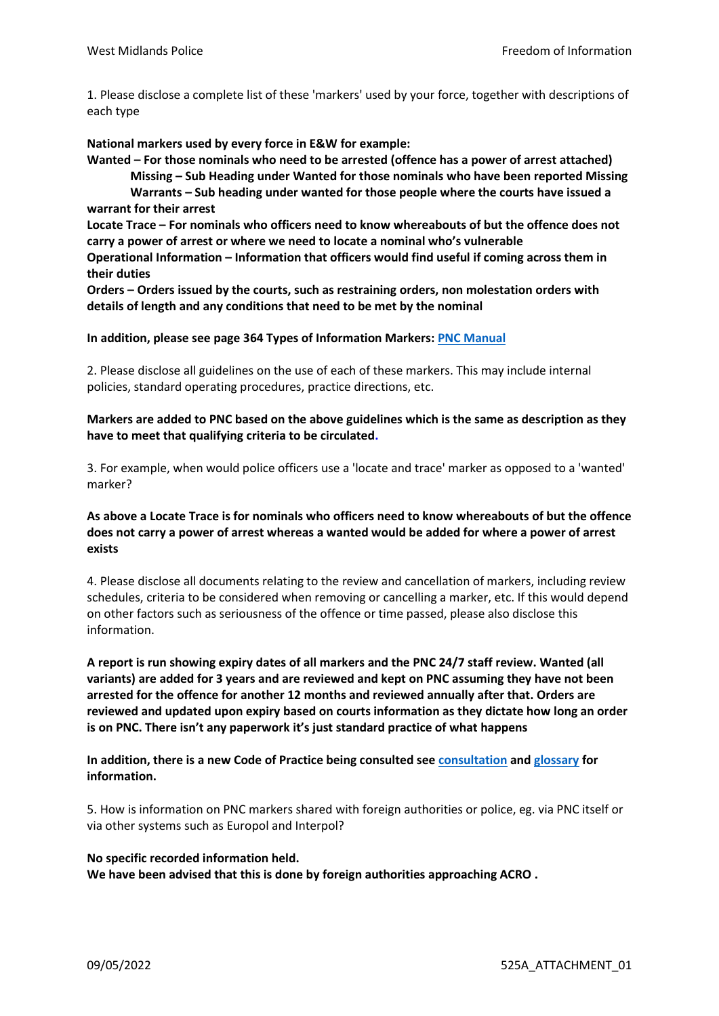1. Please disclose a complete list of these 'markers' used by your force, together with descriptions of each type

**National markers used by every force in E&W for example:**

**Wanted – For those nominals who need to be arrested (offence has a power of arrest attached) Missing – Sub Heading under Wanted for those nominals who have been reported Missing Warrants – Sub heading under wanted for those people where the courts have issued a warrant for their arrest**

**Locate Trace – For nominals who officers need to know whereabouts of but the offence does not carry a power of arrest or where we need to locate a nominal who's vulnerable**

**Operational Information – Information that officers would find useful if coming across them in their duties**

**Orders – Orders issued by the courts, such as restraining orders, non molestation orders with details of length and any conditions that need to be met by the nominal**

### **In addition, please see page 364 Types of Information Markers: [PNC Manual](https://gbr01.safelinks.protection.outlook.com/?url=https%3A%2F%2Fwww.whatdotheyknow.com%2Frequest%2F704857%2Fresponse%2F1688218%2Fattach%2F4%2F61120%2520Annex%2520A%2520PNC%2520Manual%2520v20.01%2520Redacted%2520v4.pdf%3Fcookie_passthrough%3D1&data=05%7C01%7Cfoi%40westmidlands.police.uk%7Cd79176493ff242ec430f08da2f48640e%7C2b0f1af29e024cfb982fc61fd716ee98%7C0%7C1%7C637874285210677743%7CUnknown%7CTWFpbGZsb3d8eyJWIjoiMC4wLjAwMDAiLCJQIjoiV2luMzIiLCJBTiI6Ik1haWwiLCJXVCI6Mn0%3D%7C3000%7C%7C%7C&sdata=B86ommqGqRXaae6CrUPUpwlb8kAu2gQPwNNk6yj4RMY%3D&reserved=0)**

2. Please disclose all guidelines on the use of each of these markers. This may include internal policies, standard operating procedures, practice directions, etc.

### **Markers are added to PNC based on the above guidelines which is the same as description as they have to meet that qualifying criteria to be circulated.**

3. For example, when would police officers use a 'locate and trace' marker as opposed to a 'wanted' marker?

#### **As above a Locate Trace is for nominals who officers need to know whereabouts of but the offence does not carry a power of arrest whereas a wanted would be added for where a power of arrest exists**

4. Please disclose all documents relating to the review and cancellation of markers, including review schedules, criteria to be considered when removing or cancelling a marker, etc. If this would depend on other factors such as seriousness of the offence or time passed, please also disclose this information.

**A report is run showing expiry dates of all markers and the PNC 24/7 staff review. Wanted (all variants) are added for 3 years and are reviewed and kept on PNC assuming they have not been arrested for the offence for another 12 months and reviewed annually after that. Orders are reviewed and updated upon expiry based on courts information as they dictate how long an order is on PNC. There isn't any paperwork it's just standard practice of what happens**

**In addition, there is a new Code of Practice being consulted see [consultation](https://gbr01.safelinks.protection.outlook.com/?url=https%3A%2F%2Fassets.college.police.uk%2Fs3fs-public%2F2022-03%2FCode-of-Practice-for-PNC-and-LEDS-2022-consultation.pdf&data=05%7C01%7Cfoi%40westmidlands.police.uk%7Cd79176493ff242ec430f08da2f48640e%7C2b0f1af29e024cfb982fc61fd716ee98%7C0%7C1%7C637874285210677743%7CUnknown%7CTWFpbGZsb3d8eyJWIjoiMC4wLjAwMDAiLCJQIjoiV2luMzIiLCJBTiI6Ik1haWwiLCJXVCI6Mn0%3D%7C3000%7C%7C%7C&sdata=qdKnFn766ju%2BxHlJZlNh2uD6egRfDU8YQJDGRcoLcZU%3D&reserved=0) and [glossary](https://gbr01.safelinks.protection.outlook.com/?url=https%3A%2F%2Fassets.college.police.uk%2Fs3fs-public%2F2022-03%2FCode-of-practice-PNC-LEDS-Glossary.pdf&data=05%7C01%7Cfoi%40westmidlands.police.uk%7Cd79176493ff242ec430f08da2f48640e%7C2b0f1af29e024cfb982fc61fd716ee98%7C0%7C1%7C637874285210677743%7CUnknown%7CTWFpbGZsb3d8eyJWIjoiMC4wLjAwMDAiLCJQIjoiV2luMzIiLCJBTiI6Ik1haWwiLCJXVCI6Mn0%3D%7C3000%7C%7C%7C&sdata=1Ai8kQZk1toIercYmJTivwmETHsCs1EbF%2BlrfOsgy48%3D&reserved=0) for information.**

5. How is information on PNC markers shared with foreign authorities or police, eg. via PNC itself or via other systems such as Europol and Interpol?

# **No specific recorded information held. We have been advised that this is done by foreign authorities approaching ACRO .**